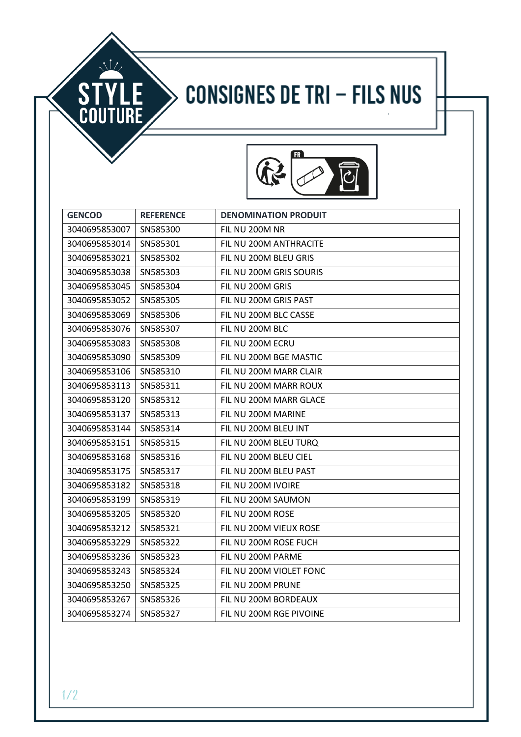## **CONSIGNES DE TRI - FILS NUS**



| <b>GENCOD</b> | <b>REFERENCE</b> | <b>DENOMINATION PRODUIT</b> |
|---------------|------------------|-----------------------------|
| 3040695853007 | SN585300         | FIL NU 200M NR              |
| 3040695853014 | SN585301         | FIL NU 200M ANTHRACITE      |
| 3040695853021 | SN585302         | FIL NU 200M BLEU GRIS       |
| 3040695853038 | SN585303         | FIL NU 200M GRIS SOURIS     |
| 3040695853045 | SN585304         | FIL NU 200M GRIS            |
| 3040695853052 | SN585305         | FIL NU 200M GRIS PAST       |
| 3040695853069 | SN585306         | FIL NU 200M BLC CASSE       |
| 3040695853076 | SN585307         | FIL NU 200M BLC             |
| 3040695853083 | SN585308         | FIL NU 200M ECRU            |
| 3040695853090 | SN585309         | FIL NU 200M BGE MASTIC      |
| 3040695853106 | SN585310         | FIL NU 200M MARR CLAIR      |
| 3040695853113 | SN585311         | FIL NU 200M MARR ROUX       |
| 3040695853120 | SN585312         | FIL NU 200M MARR GLACE      |
| 3040695853137 | SN585313         | FIL NU 200M MARINE          |
| 3040695853144 | SN585314         | FIL NU 200M BLEU INT        |
| 3040695853151 | SN585315         | FIL NU 200M BLEU TURQ       |
| 3040695853168 | SN585316         | FIL NU 200M BLEU CIEL       |
| 3040695853175 | SN585317         | FIL NU 200M BLEU PAST       |
| 3040695853182 | SN585318         | FIL NU 200M IVOIRE          |
| 3040695853199 | SN585319         | FIL NU 200M SAUMON          |
| 3040695853205 | SN585320         | FIL NU 200M ROSE            |
| 3040695853212 | SN585321         | FIL NU 200M VIEUX ROSE      |
| 3040695853229 | SN585322         | FIL NU 200M ROSE FUCH       |
| 3040695853236 | SN585323         | FIL NU 200M PARME           |
| 3040695853243 | SN585324         | FIL NU 200M VIOLET FONC     |
| 3040695853250 | SN585325         | FIL NU 200M PRUNE           |
| 3040695853267 | SN585326         | FIL NU 200M BORDEAUX        |
| 3040695853274 | SN585327         | FIL NU 200M RGE PIVOINE     |

**STYLE**<br>COUTURE